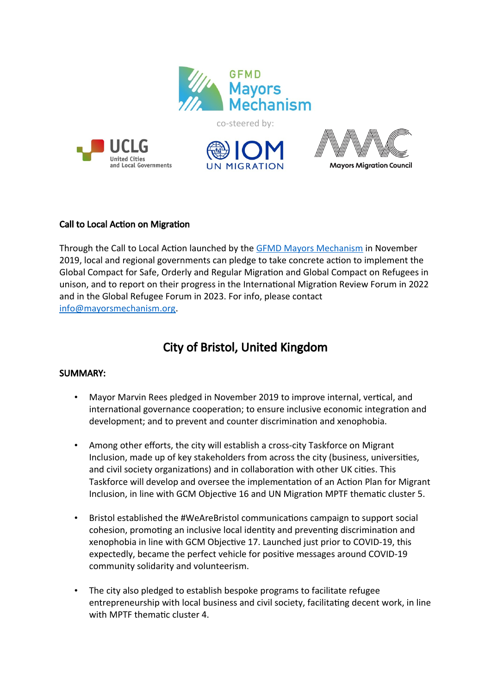

co-steered by:







# Call to Local Action on Migration

Through the Call to Local Action launched by the [GFMD Mayors Mechanism](https://www.mayorsmechanism.org/) in November 2019, local and regional governments can pledge to take concrete action to implement the Global Compact for Safe, Orderly and Regular Migration and Global Compact on Refugees in unison, and to report on their progress in the International Migration Review Forum in 2022 and in the Global Refugee Forum in 2023. For info, please contact [info@mayorsmechanism.org](mailto:info@mayorsmechanism.org).

# City of Bristol, United Kingdom

# SUMMARY:

- Mayor Marvin Rees pledged in November 2019 to improve internal, vertical, and international governance cooperation; to ensure inclusive economic integration and development; and to prevent and counter discrimination and xenophobia.
- Among other efforts, the city will establish a cross-city Taskforce on Migrant Inclusion, made up of key stakeholders from across the city (business, universities, and civil society organizations) and in collaboration with other UK cities. This Taskforce will develop and oversee the implementation of an Action Plan for Migrant Inclusion, in line with GCM Objective 16 and UN Migration MPTF thematic cluster 5.
- Bristol established the #WeAreBristol communications campaign to support social cohesion, promoting an inclusive local identity and preventing discrimination and xenophobia in line with GCM Objective 17. Launched just prior to COVID-19, this expectedly, became the perfect vehicle for positive messages around COVID-19 community solidarity and volunteerism.
- The city also pledged to establish bespoke programs to facilitate refugee entrepreneurship with local business and civil society, facilitating decent work, in line with MPTF thematic cluster 4.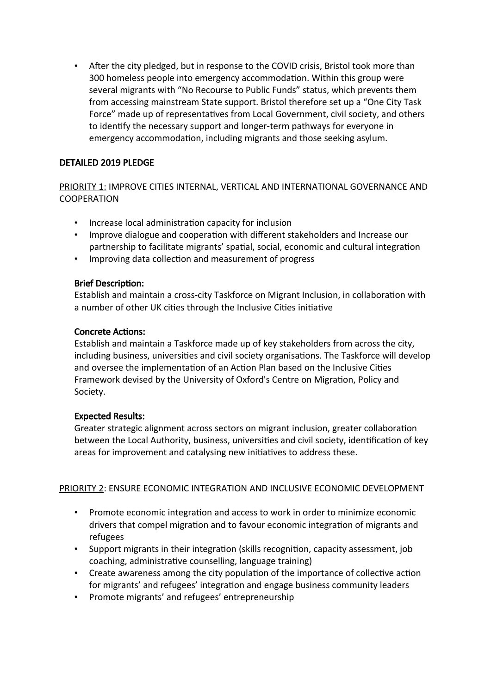• After the city pledged, but in response to the COVID crisis, Bristol took more than 300 homeless people into emergency accommodation. Within this group were several migrants with "No Recourse to Public Funds" status, which prevents them from accessing mainstream State support. Bristol therefore set up a "One City Task Force" made up of representatives from Local Government, civil society, and others to identify the necessary support and longer-term pathways for everyone in emergency accommodation, including migrants and those seeking asylum.

# DETAILED 2019 PLEDGE

PRIORITY 1: IMPROVE CITIES INTERNAL, VERTICAL AND INTERNATIONAL GOVERNANCE AND **COOPERATION** 

- Increase local administration capacity for inclusion
- Improve dialogue and cooperation with different stakeholders and Increase our partnership to facilitate migrants' spatial, social, economic and cultural integration
- Improving data collection and measurement of progress

## Brief Description:

Establish and maintain a cross-city Taskforce on Migrant Inclusion, in collaboration with a number of other UK cities through the Inclusive Cities initiative

## Concrete Actions:

Establish and maintain a Taskforce made up of key stakeholders from across the city, including business, universities and civil society organisations. The Taskforce will develop and oversee the implementation of an Action Plan based on the Inclusive Cities Framework devised by the University of Oxford's Centre on Migration, Policy and Society.

#### Expected Results:

Greater strategic alignment across sectors on migrant inclusion, greater collaboration between the Local Authority, business, universities and civil society, identification of key areas for improvement and catalysing new initiatives to address these.

#### PRIORITY 2: ENSURE ECONOMIC INTEGRATION AND INCLUSIVE ECONOMIC DEVELOPMENT

- Promote economic integration and access to work in order to minimize economic drivers that compel migration and to favour economic integration of migrants and refugees
- Support migrants in their integration (skills recognition, capacity assessment, job coaching, administrative counselling, language training)
- Create awareness among the city population of the importance of collective action for migrants' and refugees' integration and engage business community leaders
- Promote migrants' and refugees' entrepreneurship